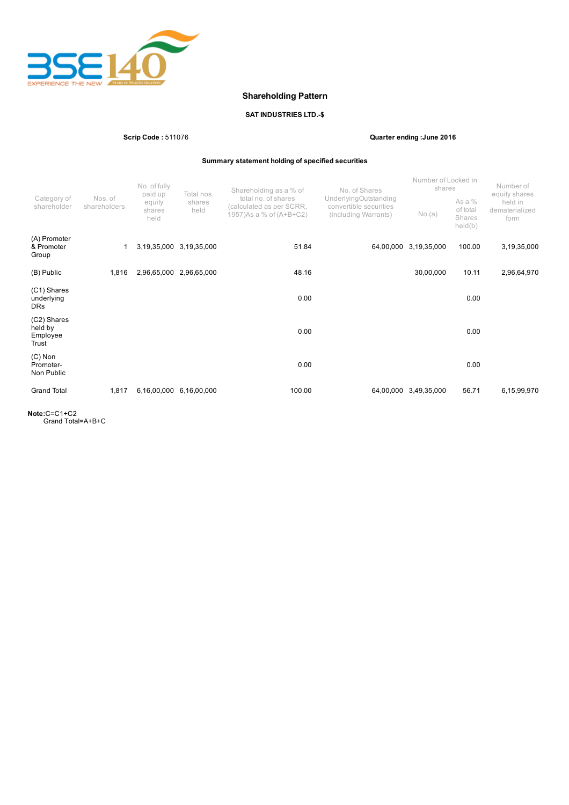

# Shareholding Pattern

# SAT INDUSTRIES LTD.-\$

Scrip Code : 511076 Quarter ending :June 2016

Summary statement holding of specified securities

|                                             |                         | No. of fully<br>paid up<br>equity<br>shares<br>held | Total nos.<br>shares<br>held | Shareholding as a % of                                                      | No. of Shares                                                           | Number of Locked in<br>shares |                                           | Number of<br>equity shares        |
|---------------------------------------------|-------------------------|-----------------------------------------------------|------------------------------|-----------------------------------------------------------------------------|-------------------------------------------------------------------------|-------------------------------|-------------------------------------------|-----------------------------------|
| Category of<br>shareholder                  | Nos. of<br>shareholders |                                                     |                              | total no. of shares<br>(calculated as per SCRR,<br>1957) As a % of (A+B+C2) | UnderlyingOutstanding<br>convertible securities<br>(including Warrants) | No.(a)                        | As a $%$<br>of total<br>Shares<br>held(b) | held in<br>dematerialized<br>form |
| (A) Promoter<br>& Promoter<br>Group         |                         | 3,19,35,000                                         | 3,19,35,000                  | 51.84                                                                       | 64,00,000                                                               | 3,19,35,000                   | 100.00                                    | 3,19,35,000                       |
| (B) Public                                  | 1,816                   | 2,96,65,000                                         | 2,96,65,000                  | 48.16                                                                       |                                                                         | 30,00,000                     | 10.11                                     | 2,96,64,970                       |
| (C1) Shares<br>underlying<br><b>DRs</b>     |                         |                                                     |                              | 0.00                                                                        |                                                                         |                               | 0.00                                      |                                   |
| (C2) Shares<br>held by<br>Employee<br>Trust |                         |                                                     |                              | 0.00                                                                        |                                                                         |                               | 0.00                                      |                                   |
| $(C)$ Non<br>Promoter-<br>Non Public        |                         |                                                     |                              | 0.00                                                                        |                                                                         |                               | 0.00                                      |                                   |
| <b>Grand Total</b>                          | 1,817                   | 6,16,00,000                                         | 6,16,00,000                  | 100.00                                                                      | 64,00,000                                                               | 3,49,35,000                   | 56.71                                     | 6,15,99,970                       |

Note:C=C1+C2 Grand Total=A+B+C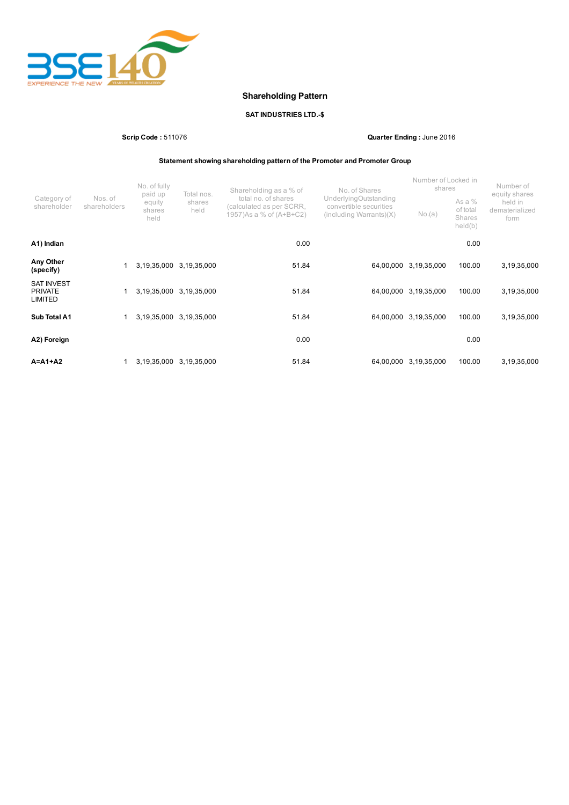

# Shareholding Pattern

# SAT INDUSTRIES LTD.-\$

Scrip Code : 511076 Quarter Ending : June 2016

Statement showing shareholding pattern of the Promoter and Promoter Group

|                                                       |                         | No. of fully<br>paid up  | Total nos.              | Shareholding as a % of                                                      | No. of Shares                                                                          | Number of Locked in<br>shares |                                           | Number of<br>equity shares        |
|-------------------------------------------------------|-------------------------|--------------------------|-------------------------|-----------------------------------------------------------------------------|----------------------------------------------------------------------------------------|-------------------------------|-------------------------------------------|-----------------------------------|
| Category of<br>shareholder                            | Nos. of<br>shareholders | equity<br>shares<br>held | shares<br>held          | total no. of shares<br>(calculated as per SCRR,<br>1957) As a % of (A+B+C2) | UnderlyingOutstanding<br>convertible securities<br>$(including \, \text{Warrants})(X)$ | No.(a)                        | As a $%$<br>of total<br>Shares<br>held(b) | held in<br>dematerialized<br>form |
| A1) Indian                                            |                         |                          |                         | 0.00                                                                        |                                                                                        |                               | 0.00                                      |                                   |
| Any Other<br>(specify)                                |                         | 3,19,35,000              | 3,19,35,000             | 51.84                                                                       | 64,00,000                                                                              | 3,19,35,000                   | 100.00                                    | 3,19,35,000                       |
| <b>SAT INVEST</b><br><b>PRIVATE</b><br><b>LIMITED</b> |                         | 3,19,35,000              | 3,19,35,000             | 51.84                                                                       | 64,00,000                                                                              | 3,19,35,000                   | 100.00                                    | 3,19,35,000                       |
| Sub Total A1                                          |                         | 3,19,35,000              | 3,19,35,000             | 51.84                                                                       | 64,00,000                                                                              | 3,19,35,000                   | 100.00                                    | 3,19,35,000                       |
| A2) Foreign                                           |                         |                          |                         | 0.00                                                                        |                                                                                        |                               | 0.00                                      |                                   |
| $A = A1 + A2$                                         |                         |                          | 3,19,35,000 3,19,35,000 | 51.84                                                                       | 64,00,000                                                                              | 3,19,35,000                   | 100.00                                    | 3,19,35,000                       |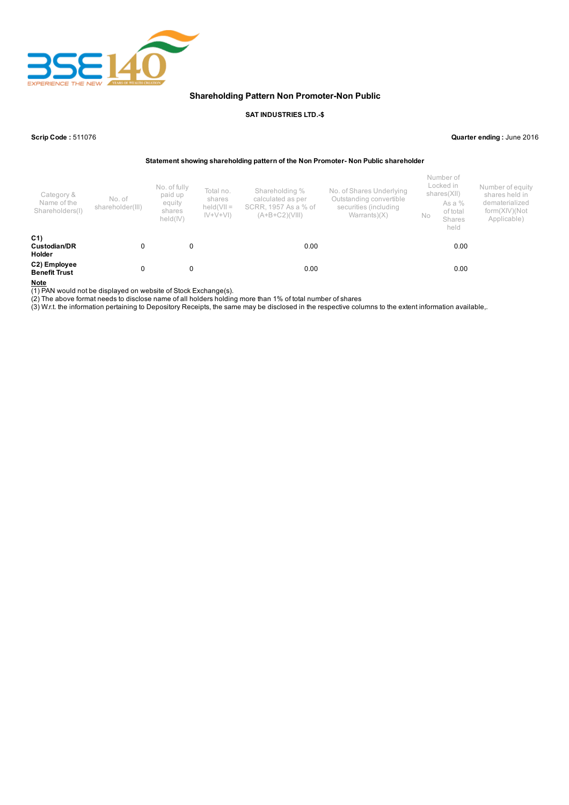

### Shareholding Pattern Non Promoter-Non Public

#### SAT INDUSTRIES LTD.-\$

Scrip Code : 511076 Quarter ending : June 2016

Statement showing shareholding pattern of the Non Promoter- Non Public shareholder

| Category &<br>Name of the<br>Shareholders(I)    | No. of<br>shareholder(III) | No. of fully<br>paid up<br>equity<br>shares<br>held(IV) | Total no.<br>shares<br>$held(VII =$<br>$ V+V+V $ | Shareholding %<br>calculated as per<br>SCRR, 1957 As a % of<br>$(A+B+C2)(VIII)$ | No. of Shares Underlying<br>Outstanding convertible<br>securities (including<br>Warrants $(X)$ | No | Number of<br>Locked in<br>shares(XII)<br>As a %<br>of total<br>Shares<br>held | Number of equity<br>shares held in<br>dematerialized<br>form(XIV)(Not<br>Applicable) |
|-------------------------------------------------|----------------------------|---------------------------------------------------------|--------------------------------------------------|---------------------------------------------------------------------------------|------------------------------------------------------------------------------------------------|----|-------------------------------------------------------------------------------|--------------------------------------------------------------------------------------|
| C <sub>1</sub><br>Custodian/DR<br><b>Holder</b> | 0                          | 0                                                       |                                                  | 0.00                                                                            |                                                                                                |    | 0.00                                                                          |                                                                                      |
| C2) Employee<br><b>Benefit Trust</b>            | 0                          | 0                                                       |                                                  | 0.00                                                                            |                                                                                                |    | 0.00                                                                          |                                                                                      |

Note

(1) PAN would not be displayed on website of Stock Exchange(s).

(2) The above format needs to disclose name of all holders holding more than 1% of total number of shares

(3) W.r.t. the information pertaining to Depository Receipts, the same may be disclosed in the respective columns to the extent information available,.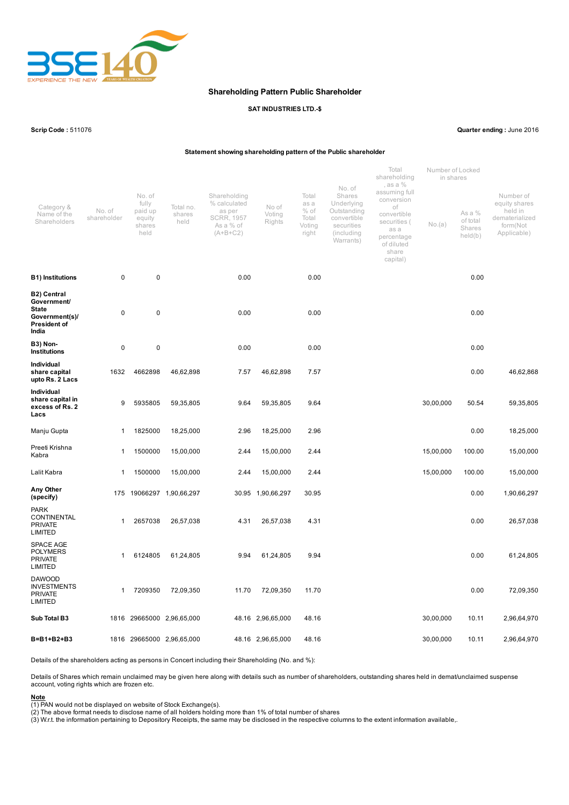

#### Shareholding Pattern Public Shareholder

#### SAT INDUSTRIES LTD.-\$

Scrip Code : 511076 Quarter ending : June 2016

#### Statement showing shareholding pattern of the Public shareholder

|                                                                                                     |                       |                                                        |                             |                                                                                        |                           |                                                     | No. of                                                                                      | Total<br>shareholding<br>, as a %                                                                                         | Number of Locked<br>in shares                     |        |                                                                                    |
|-----------------------------------------------------------------------------------------------------|-----------------------|--------------------------------------------------------|-----------------------------|----------------------------------------------------------------------------------------|---------------------------|-----------------------------------------------------|---------------------------------------------------------------------------------------------|---------------------------------------------------------------------------------------------------------------------------|---------------------------------------------------|--------|------------------------------------------------------------------------------------|
| Category &<br>Name of the<br>Shareholders                                                           | No. of<br>shareholder | No. of<br>fully<br>paid up<br>equity<br>shares<br>held | Total no.<br>shares<br>held | Shareholding<br>% calculated<br>as per<br><b>SCRR, 1957</b><br>As a % of<br>$(A+B+C2)$ | No of<br>Voting<br>Rights | Total<br>as a<br>$%$ of<br>Total<br>Voting<br>right | Shares<br>Underlying<br>Outstanding<br>convertible<br>securities<br>(including<br>Warrants) | assuming full<br>conversion<br>οf<br>convertible<br>securities (<br>as a<br>percentage<br>of diluted<br>share<br>capital) | As a %<br>of total<br>No.(a)<br>Shares<br>held(b) |        | Number of<br>equity shares<br>held in<br>dematerialized<br>form(Not<br>Applicable) |
| <b>B1) Institutions</b>                                                                             | 0                     | $\mathbf 0$                                            |                             | 0.00                                                                                   |                           | 0.00                                                |                                                                                             |                                                                                                                           |                                                   | 0.00   |                                                                                    |
| <b>B2) Central</b><br>Government/<br><b>State</b><br>Government(s)/<br><b>President of</b><br>India | 0                     | $\pmb{0}$                                              |                             | 0.00                                                                                   |                           | 0.00                                                |                                                                                             |                                                                                                                           |                                                   | 0.00   |                                                                                    |
| <b>B3) Non-</b><br><b>Institutions</b>                                                              | 0                     | 0                                                      |                             | 0.00                                                                                   |                           | 0.00                                                |                                                                                             |                                                                                                                           |                                                   | 0.00   |                                                                                    |
| Individual<br>share capital<br>upto Rs. 2 Lacs                                                      | 1632                  | 4662898                                                | 46,62,898                   | 7.57                                                                                   | 46,62,898                 | 7.57                                                |                                                                                             |                                                                                                                           |                                                   | 0.00   | 46,62,868                                                                          |
| Individual<br>share capital in<br>excess of Rs. 2<br>Lacs                                           | 9                     | 5935805                                                | 59,35,805                   | 9.64                                                                                   | 59,35,805                 | 9.64                                                |                                                                                             |                                                                                                                           | 30,00,000                                         | 50.54  | 59,35,805                                                                          |
| Manju Gupta                                                                                         | 1                     | 1825000                                                | 18,25,000                   | 2.96                                                                                   | 18,25,000                 | 2.96                                                |                                                                                             |                                                                                                                           |                                                   | 0.00   | 18,25,000                                                                          |
| Preeti Krishna<br>Kabra                                                                             | 1                     | 1500000                                                | 15,00,000                   | 2.44                                                                                   | 15,00,000                 | 2.44                                                |                                                                                             |                                                                                                                           | 15,00,000                                         | 100.00 | 15,00,000                                                                          |
| Lalit Kabra                                                                                         | 1                     | 1500000                                                | 15,00,000                   | 2.44                                                                                   | 15,00,000                 | 2.44                                                |                                                                                             |                                                                                                                           | 15,00,000                                         | 100.00 | 15,00,000                                                                          |
| Any Other<br>(specify)                                                                              | 175                   |                                                        | 19066297 1,90,66,297        |                                                                                        | 30.95 1,90,66,297         | 30.95                                               |                                                                                             |                                                                                                                           |                                                   | 0.00   | 1,90,66,297                                                                        |
| <b>PARK</b><br>CONTINENTAL<br><b>PRIVATE</b><br><b>LIMITED</b>                                      | 1                     | 2657038                                                | 26,57,038                   | 4.31                                                                                   | 26,57,038                 | 4.31                                                |                                                                                             |                                                                                                                           |                                                   | 0.00   | 26,57,038                                                                          |
| <b>SPACE AGE</b><br><b>POLYMERS</b><br><b>PRIVATE</b><br><b>LIMITED</b>                             | 1                     | 6124805                                                | 61,24,805                   | 9.94                                                                                   | 61,24,805                 | 9.94                                                |                                                                                             |                                                                                                                           |                                                   | 0.00   | 61,24,805                                                                          |
| <b>DAWOOD</b><br><b>INVESTMENTS</b><br><b>PRIVATE</b><br>LIMITED                                    | 1                     | 7209350                                                | 72,09,350                   | 11.70                                                                                  | 72,09,350                 | 11.70                                               |                                                                                             |                                                                                                                           |                                                   | 0.00   | 72,09,350                                                                          |
| Sub Total B3                                                                                        |                       |                                                        | 1816 29665000 2,96,65,000   |                                                                                        | 48.16 2,96,65,000         | 48.16                                               |                                                                                             |                                                                                                                           | 30,00,000                                         | 10.11  | 2,96,64,970                                                                        |
| B=B1+B2+B3                                                                                          |                       |                                                        | 1816 29665000 2,96,65,000   |                                                                                        | 48.16 2,96,65,000         | 48.16                                               |                                                                                             |                                                                                                                           | 30,00,000                                         | 10.11  | 2,96,64,970                                                                        |

Details of the shareholders acting as persons in Concert including their Shareholding (No. and %):

Details of Shares which remain unclaimed may be given here along with details such as number of shareholders, outstanding shares held in demat/unclaimed suspense account, voting rights which are frozen etc.

<u>Note</u><br>(1) PAN would not be displayed on website of Stock Exchange(s).<br>(2) The above format needs to disclose name of all holders holding more than 1% of total number of shares<br>(3) W.r.t. the information pertaining to Depo